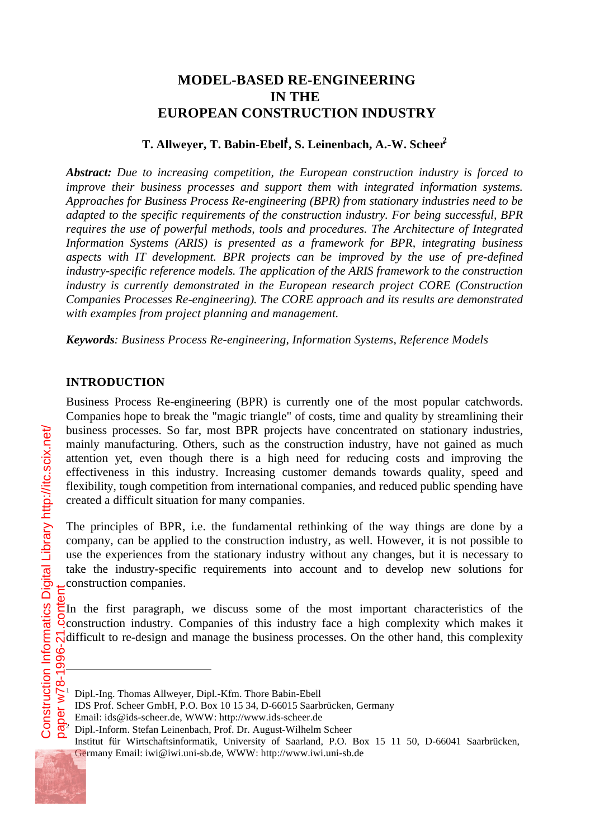# **MODEL-BASED RE-ENGINEERING IN THE EUROPEAN CONSTRUCTION INDUSTRY**

# **T. Allweyer, T. Babin-Ebell<sup>1</sup> , S. Leinenbach, A.-W. Scheer<sup>2</sup>**

*Abstract: Due to increasing competition, the European construction industry is forced to improve their business processes and support them with integrated information systems. Approaches for Business Process Re-engineering (BPR) from stationary industries need to be adapted to the specific requirements of the construction industry. For being successful, BPR requires the use of powerful methods, tools and procedures. The Architecture of Integrated Information Systems (ARIS) is presented as a framework for BPR, integrating business aspects with IT development. BPR projects can be improved by the use of pre-defined industry-specific reference models. The application of the ARIS framework to the construction industry is currently demonstrated in the European research project CORE (Construction Companies Processes Re-engineering). The CORE approach and its results are demonstrated with examples from project planning and management.*

*Keywords: Business Process Re-engineering, Information Systems, Reference Models*

### **INTRODUCTION**

Business Process Re-engineering (BPR) is currently one of the most popular catchwords. Companies hope to break the "magic triangle" of costs, time and quality by streamlining their business processes. So far, most BPR projects have concentrated on stationary industries, mainly manufacturing. Others, such as the construction industry, have not gained as much attention yet, even though there is a high need for reducing costs and improving the effectiveness in this industry. Increasing customer demands towards quality, speed and flexibility, tough competition from international companies, and reduced public spending have created a difficult situation for many companies.

The principles of BPR, i.e. the fundamental rethinking of the way things are done by a company, can be applied to the construction industry, as well. However, it is not possible to use the experiences from the stationary industry without any changes, but it is necessary to take the industry-specific requirements into account and to develop new solutions for construction companies.

In the first paragraph, we discuss some of the most important characteristics of the construction industry. Companies of this industry face a high complexity which makes it  $\overline{\mathcal{N}}$  difficult to re-design and manage the business processes. On the other hand, this complexity

l

<sup>1</sup> Dipl.-Ing. Thomas Allweyer, Dipl.-Kfm. Thore Babin-Ebell

IDS Prof. Scheer GmbH, P.O. Box 10 15 34, D-66015 Saarbrücken, Germany

Email: ids@ids-scheer.de, WWW: http://www.ids-scheer.de

<sup>2</sup> Dipl.-Inform. Stefan Leinenbach, Prof. Dr. August-Wilhelm Scheer

Institut für Wirtschaftsinformatik, University of Saarland, P.O. Box 15 11 50, D-66041 Saarbrücken, Germany Email: iwi@iwi.uni-sb.de, WWW: http://www.iwi.uni-sb.de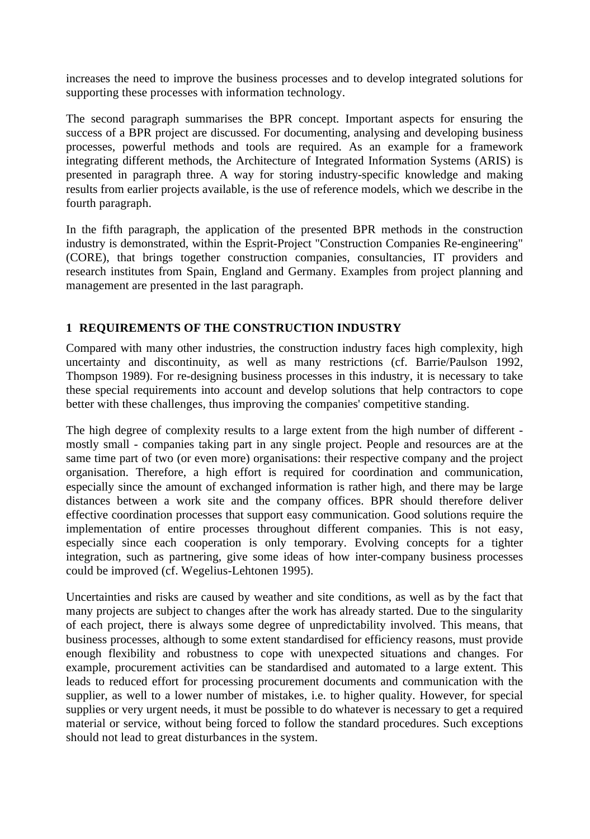increases the need to improve the business processes and to develop integrated solutions for supporting these processes with information technology.

The second paragraph summarises the BPR concept. Important aspects for ensuring the success of a BPR project are discussed. For documenting, analysing and developing business processes, powerful methods and tools are required. As an example for a framework integrating different methods, the Architecture of Integrated Information Systems (ARIS) is presented in paragraph three. A way for storing industry-specific knowledge and making results from earlier projects available, is the use of reference models, which we describe in the fourth paragraph.

In the fifth paragraph, the application of the presented BPR methods in the construction industry is demonstrated, within the Esprit-Project "Construction Companies Re-engineering" (CORE), that brings together construction companies, consultancies, IT providers and research institutes from Spain, England and Germany. Examples from project planning and management are presented in the last paragraph.

# **1 REQUIREMENTS OF THE CONSTRUCTION INDUSTRY**

Compared with many other industries, the construction industry faces high complexity, high uncertainty and discontinuity, as well as many restrictions (cf. Barrie/Paulson 1992, Thompson 1989). For re-designing business processes in this industry, it is necessary to take these special requirements into account and develop solutions that help contractors to cope better with these challenges, thus improving the companies' competitive standing.

The high degree of complexity results to a large extent from the high number of different mostly small - companies taking part in any single project. People and resources are at the same time part of two (or even more) organisations: their respective company and the project organisation. Therefore, a high effort is required for coordination and communication, especially since the amount of exchanged information is rather high, and there may be large distances between a work site and the company offices. BPR should therefore deliver effective coordination processes that support easy communication. Good solutions require the implementation of entire processes throughout different companies. This is not easy, especially since each cooperation is only temporary. Evolving concepts for a tighter integration, such as partnering, give some ideas of how inter-company business processes could be improved (cf. Wegelius-Lehtonen 1995).

Uncertainties and risks are caused by weather and site conditions, as well as by the fact that many projects are subject to changes after the work has already started. Due to the singularity of each project, there is always some degree of unpredictability involved. This means, that business processes, although to some extent standardised for efficiency reasons, must provide enough flexibility and robustness to cope with unexpected situations and changes. For example, procurement activities can be standardised and automated to a large extent. This leads to reduced effort for processing procurement documents and communication with the supplier, as well to a lower number of mistakes, i.e. to higher quality. However, for special supplies or very urgent needs, it must be possible to do whatever is necessary to get a required material or service, without being forced to follow the standard procedures. Such exceptions should not lead to great disturbances in the system.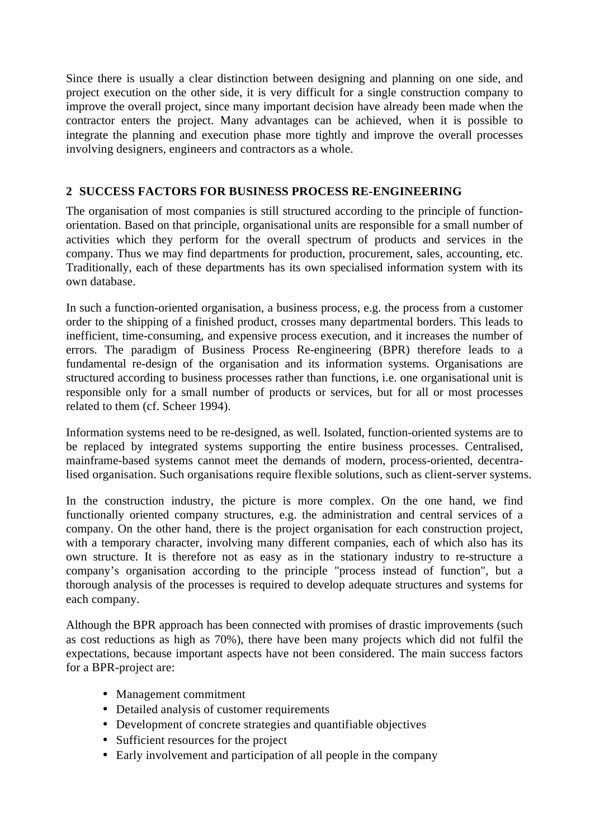Since there is usually a clear distinction between designing and planning on one side, and project execution on the other side, it is very difficult for a single construction company to improve the overall project, since many important decision have already been made when the contractor enters the project. Many advantages can be achieved, when it is possible to integrate the planning and execution phase more tightly and improve the overall processes involving designers, engineers and contractors as a whole.

# **2 SUCCESS FACTORS FOR BUSINESS PROCESS RE-ENGINEERING**

The organisation of most companies is still structured according to the principle of functionorientation. Based on that principle, organisational units are responsible for a small number of activities which they perform for the overall spectrum of products and services in the company. Thus we may find departments for production, procurement, sales, accounting, etc. Traditionally, each of these departments has its own specialised information system with its own database.

In such a function-oriented organisation, a business process, e.g. the process from a customer order to the shipping of a finished product, crosses many departmental borders. This leads to inefficient, time-consuming, and expensive process execution, and it increases the number of errors. The paradigm of Business Process Re-engineering (BPR) therefore leads to a fundamental re-design of the organisation and its information systems. Organisations are structured according to business processes rather than functions, i.e. one organisational unit is responsible only for a small number of products or services, but for all or most processes related to them (cf. Scheer 1994).

Information systems need to be re-designed, as well. Isolated, function-oriented systems are to be replaced by integrated systems supporting the entire business processes. Centralised, mainframe-based systems cannot meet the demands of modern, process-oriented, decentralised organisation. Such organisations require flexible solutions, such as client-server systems.

In the construction industry, the picture is more complex. On the one hand, we find functionally oriented company structures, e.g. the administration and central services of a company. On the other hand, there is the project organisation for each construction project, with a temporary character, involving many different companies, each of which also has its own structure. It is therefore not as easy as in the stationary industry to re-structure a company's organisation according to the principle "process instead of function", but a thorough analysis of the processes is required to develop adequate structures and systems for each company.

Although the BPR approach has been connected with promises of drastic improvements (such as cost reductions as high as 70%), there have been many projects which did not fulfil the expectations, because important aspects have not been considered. The main success factors for a BPR-project are:

- Management commitment
- Detailed analysis of customer requirements
- Development of concrete strategies and quantifiable objectives
- Sufficient resources for the project
- Early involvement and participation of all people in the company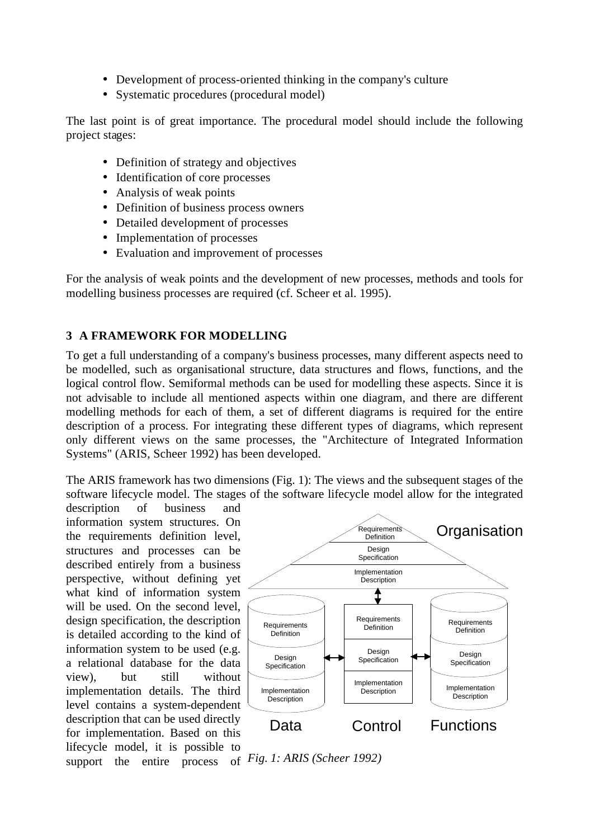- Development of process-oriented thinking in the company's culture
- Systematic procedures (procedural model)

The last point is of great importance. The procedural model should include the following project stages:

- Definition of strategy and objectives
- Identification of core processes
- Analysis of weak points
- Definition of business process owners
- Detailed development of processes
- Implementation of processes
- Evaluation and improvement of processes

For the analysis of weak points and the development of new processes, methods and tools for modelling business processes are required (cf. Scheer et al. 1995).

## **3 A FRAMEWORK FOR MODELLING**

To get a full understanding of a company's business processes, many different aspects need to be modelled, such as organisational structure, data structures and flows, functions, and the logical control flow. Semiformal methods can be used for modelling these aspects. Since it is not advisable to include all mentioned aspects within one diagram, and there are different modelling methods for each of them, a set of different diagrams is required for the entire description of a process. For integrating these different types of diagrams, which represent only different views on the same processes, the "Architecture of Integrated Information Systems" (ARIS, Scheer 1992) has been developed.

The ARIS framework has two dimensions (Fig. 1): The views and the subsequent stages of the software lifecycle model. The stages of the software lifecycle model allow for the integrated

description of business and information system structures. On the requirements definition level, structures and processes can be described entirely from a business perspective, without defining yet what kind of information system will be used. On the second level, design specification, the description is detailed according to the kind of information system to be used (e.g. a relational database for the data view), but still without implementation details. The third level contains a system-dependent description that can be used directly for implementation. Based on this lifecycle model, it is possible to support the entire process of *Fig. 1: ARIS (Scheer 1992)*

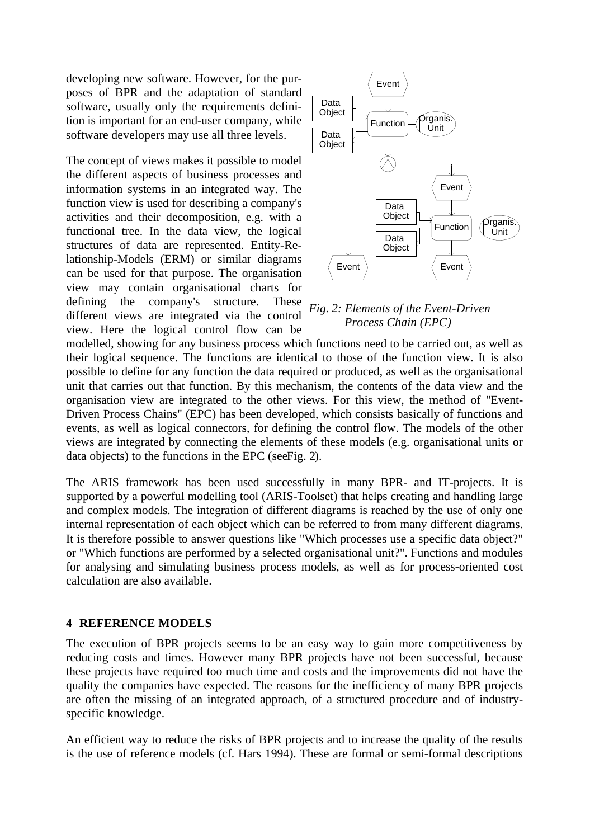developing new software. However, for the purposes of BPR and the adaptation of standard software, usually only the requirements definition is important for an end-user company, while software developers may use all three levels.

The concept of views makes it possible to model the different aspects of business processes and information systems in an integrated way. The function view is used for describing a company's activities and their decomposition, e.g. with a functional tree. In the data view, the logical structures of data are represented. Entity-Relationship-Models (ERM) or similar diagrams can be used for that purpose. The organisation view may contain organisational charts for defining the company's structure. These different views are integrated via the control view. Here the logical control flow can be



### *Fig. 2: Elements of the Event-Driven Process Chain (EPC)*

modelled, showing for any business process which functions need to be carried out, as well as their logical sequence. The functions are identical to those of the function view. It is also possible to define for any function the data required or produced, as well as the organisational unit that carries out that function. By this mechanism, the contents of the data view and the organisation view are integrated to the other views. For this view, the method of "Event-Driven Process Chains" (EPC) has been developed, which consists basically of functions and events, as well as logical connectors, for defining the control flow. The models of the other views are integrated by connecting the elements of these models (e.g. organisational units or data objects) to the functions in the EPC (see Fig. 2).

The ARIS framework has been used successfully in many BPR- and IT-projects. It is supported by a powerful modelling tool (ARIS-Toolset) that helps creating and handling large and complex models. The integration of different diagrams is reached by the use of only one internal representation of each object which can be referred to from many different diagrams. It is therefore possible to answer questions like "Which processes use a specific data object?" or "Which functions are performed by a selected organisational unit?". Functions and modules for analysing and simulating business process models, as well as for process-oriented cost calculation are also available.

#### **4 REFERENCE MODELS**

The execution of BPR projects seems to be an easy way to gain more competitiveness by reducing costs and times. However many BPR projects have not been successful, because these projects have required too much time and costs and the improvements did not have the quality the companies have expected. The reasons for the inefficiency of many BPR projects are often the missing of an integrated approach, of a structured procedure and of industryspecific knowledge.

An efficient way to reduce the risks of BPR projects and to increase the quality of the results is the use of reference models (cf. Hars 1994). These are formal or semi-formal descriptions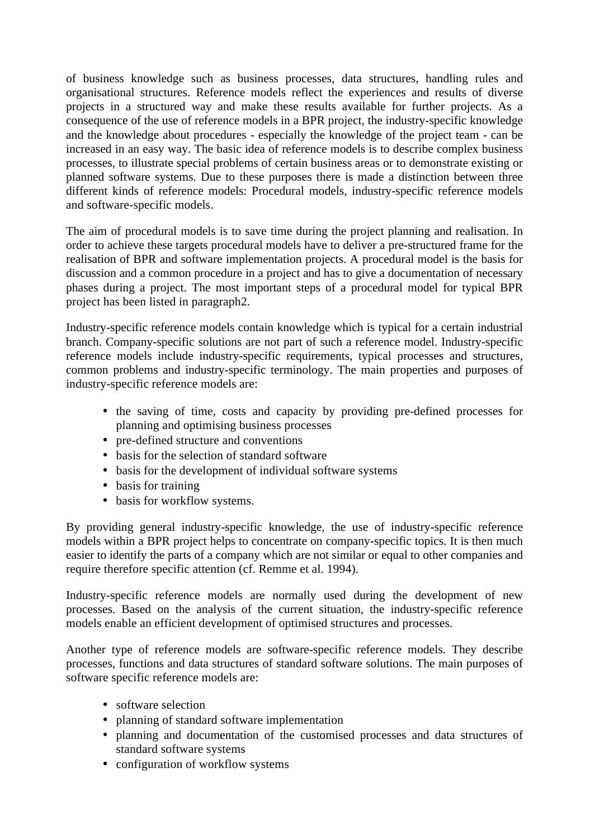of business knowledge such as business processes, data structures, handling rules and organisational structures. Reference models reflect the experiences and results of diverse projects in a structured way and make these results available for further projects. As a consequence of the use of reference models in a BPR project, the industry-specific knowledge and the knowledge about procedures - especially the knowledge of the project team - can be increased in an easy way. The basic idea of reference models is to describe complex business processes, to illustrate special problems of certain business areas or to demonstrate existing or planned software systems. Due to these purposes there is made a distinction between three different kinds of reference models: Procedural models, industry-specific reference models and software-specific models.

The aim of procedural models is to save time during the project planning and realisation. In order to achieve these targets procedural models have to deliver a pre-structured frame for the realisation of BPR and software implementation projects. A procedural model is the basis for discussion and a common procedure in a project and has to give a documentation of necessary phases during a project. The most important steps of a procedural model for typical BPR project has been listed in paragraph 2.

Industry-specific reference models contain knowledge which is typical for a certain industrial branch. Company-specific solutions are not part of such a reference model. Industry-specific reference models include industry-specific requirements, typical processes and structures, common problems and industry-specific terminology. The main properties and purposes of industry-specific reference models are:

- the saving of time, costs and capacity by providing pre-defined processes for planning and optimising business processes
- pre-defined structure and conventions
- basis for the selection of standard software
- basis for the development of individual software systems
- basis for training
- basis for workflow systems.

By providing general industry-specific knowledge, the use of industry-specific reference models within a BPR project helps to concentrate on company-specific topics. It is then much easier to identify the parts of a company which are not similar or equal to other companies and require therefore specific attention (cf. Remme et al. 1994).

Industry-specific reference models are normally used during the development of new processes. Based on the analysis of the current situation, the industry-specific reference models enable an efficient development of optimised structures and processes.

Another type of reference models are software-specific reference models. They describe processes, functions and data structures of standard software solutions. The main purposes of software specific reference models are:

- software selection
- planning of standard software implementation
- planning and documentation of the customised processes and data structures of standard software systems
- configuration of workflow systems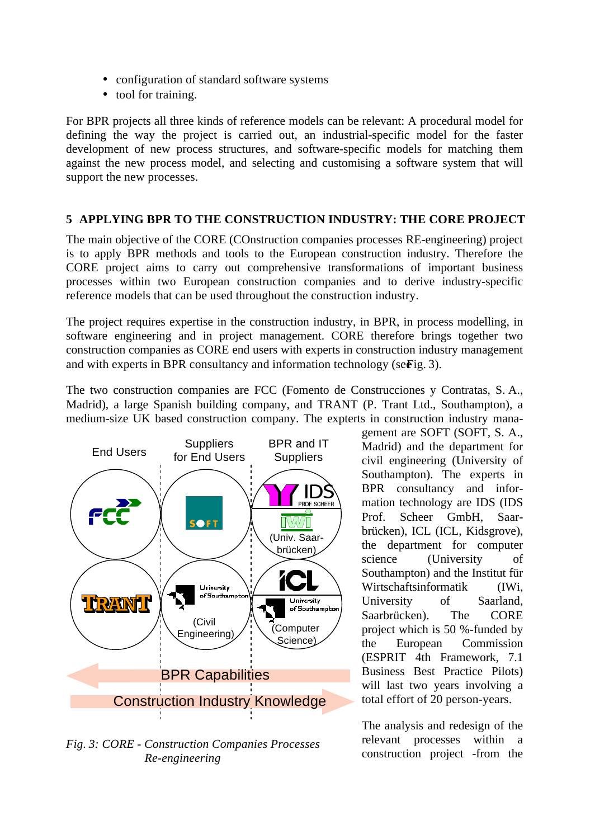- configuration of standard software systems
- tool for training.

For BPR projects all three kinds of reference models can be relevant: A procedural model for defining the way the project is carried out, an industrial-specific model for the faster development of new process structures, and software-specific models for matching them against the new process model, and selecting and customising a software system that will support the new processes.

# **5 APPLYING BPR TO THE CONSTRUCTION INDUSTRY: THE CORE PROJECT**

The main objective of the CORE (COnstruction companies processes RE-engineering) project is to apply BPR methods and tools to the European construction industry. Therefore the CORE project aims to carry out comprehensive transformations of important business processes within two European construction companies and to derive industry-specific reference models that can be used throughout the construction industry.

The project requires expertise in the construction industry, in BPR, in process modelling, in software engineering and in project management. CORE therefore brings together two construction companies as CORE end users with experts in construction industry management and with experts in BPR consultancy and information technology (se $\vec{e}$ ig. 3).

The two construction companies are FCC (Fomento de Construcciones y Contratas, S. A., Madrid), a large Spanish building company, and TRANT (P. Trant Ltd., Southampton), a medium-size UK based construction company. The expterts in construction industry mana-



*Fig. 3: CORE - Construction Companies Processes Re-engineering*

gement are SOFT (SOFT, S. A., Madrid) and the department for civil engineering (University of Southampton). The experts in BPR consultancy and information technology are IDS (IDS Prof. Scheer GmbH, Saarbrücken), ICL (ICL, Kidsgrove), the department for computer science (University of Southampton) and the Institut für Wirtschaftsinformatik (IWi, University of Saarland, Saarbrücken). The CORE project which is 50 %-funded by the European Commission (ESPRIT 4th Framework, 7.1 Business Best Practice Pilots) will last two years involving a total effort of 20 person-years.

The analysis and redesign of the relevant processes within a construction project -from the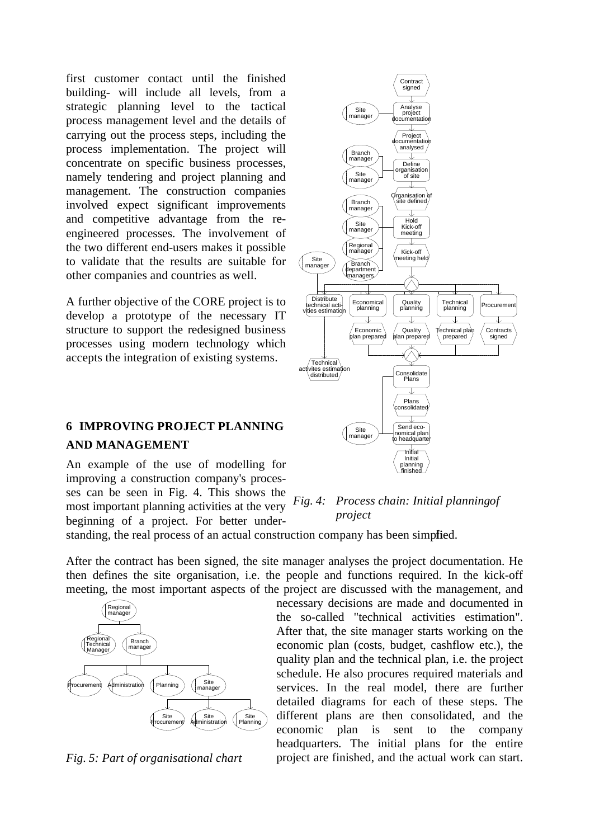first customer contact until the finished building- will include all levels, from a strategic planning level to the tactical process management level and the details of carrying out the process steps, including the process implementation. The project will concentrate on specific business processes, namely tendering and project planning and management. The construction companies involved expect significant improvements and competitive advantage from the reengineered processes. The involvement of the two different end-users makes it possible to validate that the results are suitable for other companies and countries as well.

A further objective of the CORE project is to develop a prototype of the necessary IT structure to support the redesigned business processes using modern technology which accepts the integration of existing systems.

# **6 IMPROVING PROJECT PLANNING AND MANAGEMENT**

An example of the use of modelling for improving a construction company's processes can be seen in Fig. 4. This shows the most important planning activities at the very beginning of a project. For better under-

## *Fig. 4: Process chain: Initial planning of project*

inishe

project are finished, and the actual work can start.

standing, the real process of an actual construction company has been simplied.

After the contract has been signed, the site manager analyses the project documentation. He then defines the site organisation, i.e. the people and functions required. In the kick-off meeting, the most important aspects of the project are discussed with the management, and



*Fig. 5: Part of organisational chart*



Analyse project documentation

Site manage

Branch manager

Site manage

Branch

Contract signed

 $\overline{J}$ 

Project documentation analysed

↓

Define<br>Conjection organisation of site

↴

Organisation of site defined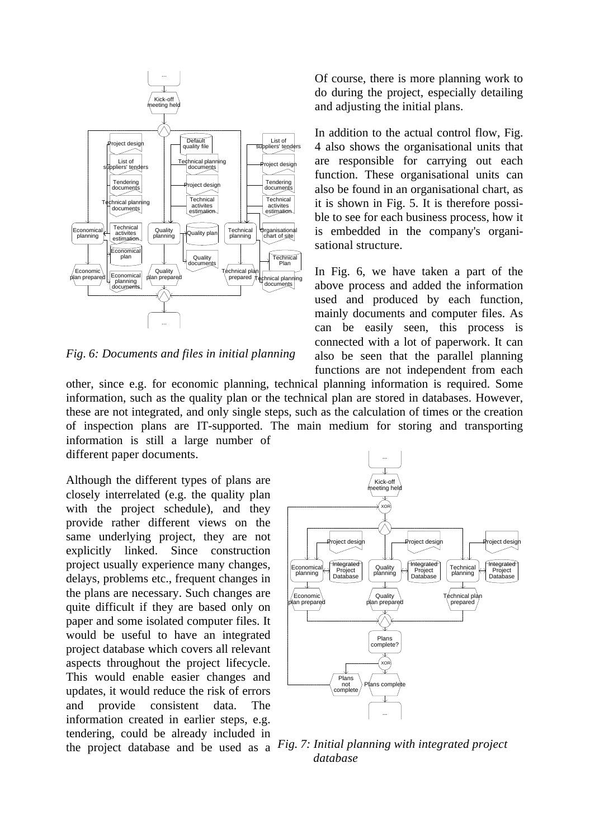

*Fig. 6: Documents and files in initial planning*

other, since e.g. for economic planning, technical planning information is required. Some information, such as the quality plan or the technical plan are stored in databases. However, these are not integrated, and only single steps, such as the calculation of times or the creation of inspection plans are IT-supported. The main medium for storing and transporting information is still a large number of

different paper documents.

Although the different types of plans are closely interrelated (e.g. the quality plan with the project schedule), and they provide rather different views on the same underlying project, they are not explicitly linked. Since construction project usually experience many changes, delays, problems etc., frequent changes in the plans are necessary. Such changes are quite difficult if they are based only on paper and some isolated computer files. It would be useful to have an integrated project database which covers all relevant aspects throughout the project lifecycle. This would enable easier changes and updates, it would reduce the risk of errors and provide consistent data. The information created in earlier steps, e.g. tendering, could be already included in



the project database and be used as a *Fig. 7: Initial planning with integrated project database*

Of course, there is more planning work to do during the project, especially detailing and adjusting the initial plans.

In addition to the actual control flow, Fig. 4 also shows the organisational units that are responsible for carrying out each function. These organisational units can also be found in an organisational chart, as it is shown in Fig. 5. It is therefore possible to see for each business process, how it is embedded in the company's organisational structure.

In Fig. 6, we have taken a part of the above process and added the information used and produced by each function, mainly documents and computer files. As can be easily seen, this process is connected with a lot of paperwork. It can also be seen that the parallel planning functions are not independent from each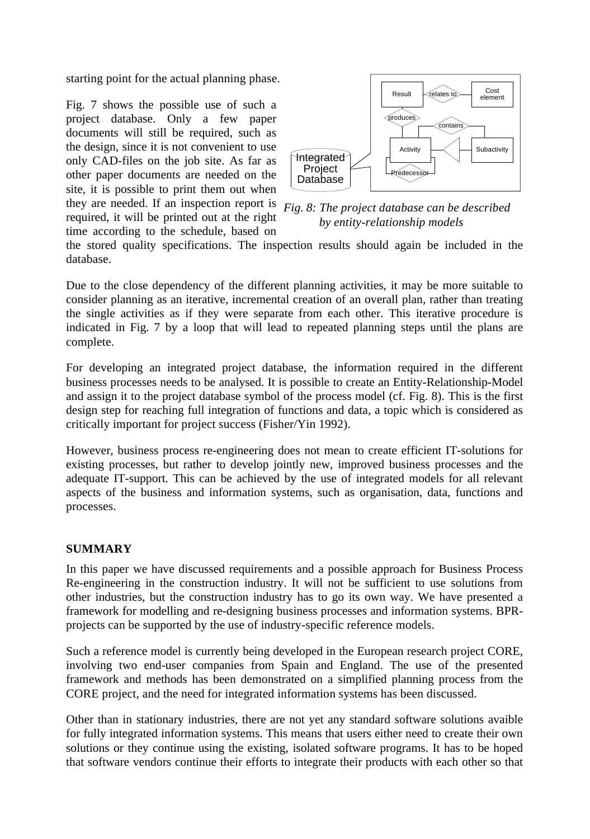starting point for the actual planning phase.

Fig. 7 shows the possible use of such a project database. Only a few paper documents will still be required, such as the design, since it is not convenient to use only CAD-files on the job site. As far as other paper documents are needed on the site, it is possible to print them out when they are needed. If an inspection report is *Fig. 8: The project database can be described*  required, it will be printed out at the right time according to the schedule, based on



*by entity-relationship models*

the stored quality specifications. The inspection results should again be included in the database.

Due to the close dependency of the different planning activities, it may be more suitable to consider planning as an iterative, incremental creation of an overall plan, rather than treating the single activities as if they were separate from each other. This iterative procedure is indicated in Fig. 7 by a loop that will lead to repeated planning steps until the plans are complete.

For developing an integrated project database, the information required in the different business processes needs to be analysed. It is possible to create an Entity-Relationship-Model and assign it to the project database symbol of the process model (cf. Fig. 8). This is the first design step for reaching full integration of functions and data, a topic which is considered as critically important for project success (Fisher/Yin 1992).

However, business process re-engineering does not mean to create efficient IT-solutions for existing processes, but rather to develop jointly new, improved business processes and the adequate IT-support. This can be achieved by the use of integrated models for all relevant aspects of the business and information systems, such as organisation, data, functions and processes.

# **SUMMARY**

In this paper we have discussed requirements and a possible approach for Business Process Re-engineering in the construction industry. It will not be sufficient to use solutions from other industries, but the construction industry has to go its own way. We have presented a framework for modelling and re-designing business processes and information systems. BPRprojects can be supported by the use of industry-specific reference models.

Such a reference model is currently being developed in the European research project CORE, involving two end-user companies from Spain and England. The use of the presented framework and methods has been demonstrated on a simplified planning process from the CORE project, and the need for integrated information systems has been discussed.

Other than in stationary industries, there are not yet any standard software solutions avaible for fully integrated information systems. This means that users either need to create their own solutions or they continue using the existing, isolated software programs. It has to be hoped that software vendors continue their efforts to integrate their products with each other so that